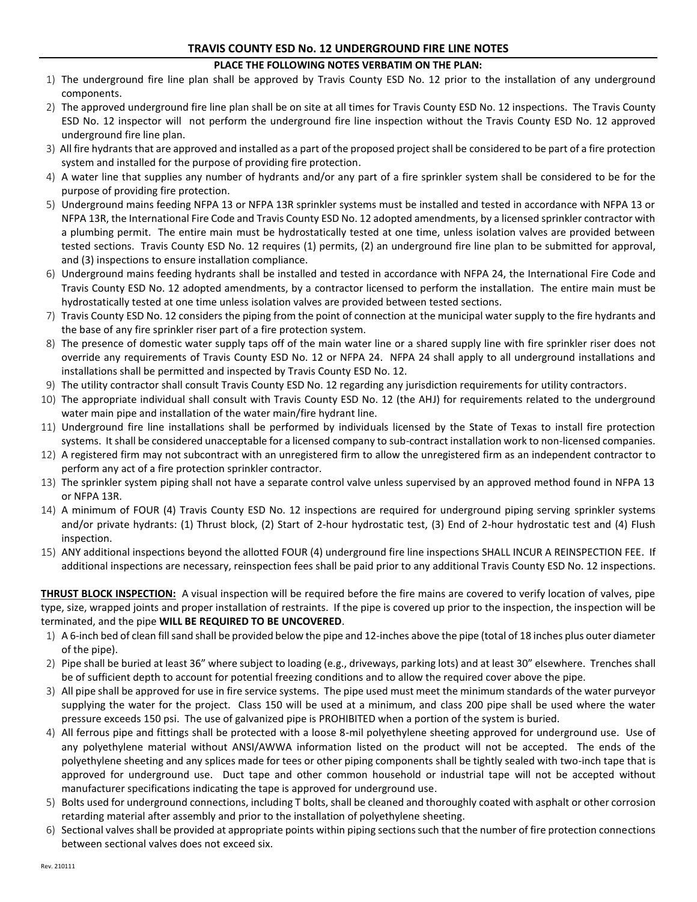## **TRAVIS COUNTY ESD No. 12 UNDERGROUND FIRE LINE NOTES**

## **PLACE THE FOLLOWING NOTES VERBATIM ON THE PLAN:**

- 1) The underground fire line plan shall be approved by Travis County ESD No. 12 prior to the installation of any underground components.
- 2) The approved underground fire line plan shall be on site at all times for Travis County ESD No. 12 inspections. The Travis County ESD No. 12 inspector will not perform the underground fire line inspection without the Travis County ESD No. 12 approved underground fire line plan.
- 3) All fire hydrants that are approved and installed as a part of the proposed project shall be considered to be part of a fire protection system and installed for the purpose of providing fire protection.
- 4) A water line that supplies any number of hydrants and/or any part of a fire sprinkler system shall be considered to be for the purpose of providing fire protection.
- 5) Underground mains feeding NFPA 13 or NFPA 13R sprinkler systems must be installed and tested in accordance with NFPA 13 or NFPA 13R, the International Fire Code and Travis County ESD No. 12 adopted amendments, by a licensed sprinkler contractor with a plumbing permit. The entire main must be hydrostatically tested at one time, unless isolation valves are provided between tested sections. Travis County ESD No. 12 requires (1) permits, (2) an underground fire line plan to be submitted for approval, and (3) inspections to ensure installation compliance.
- 6) Underground mains feeding hydrants shall be installed and tested in accordance with NFPA 24, the International Fire Code and Travis County ESD No. 12 adopted amendments, by a contractor licensed to perform the installation. The entire main must be hydrostatically tested at one time unless isolation valves are provided between tested sections.
- 7) Travis County ESD No. 12 considers the piping from the point of connection at the municipal water supply to the fire hydrants and the base of any fire sprinkler riser part of a fire protection system.
- 8) The presence of domestic water supply taps off of the main water line or a shared supply line with fire sprinkler riser does not override any requirements of Travis County ESD No. 12 or NFPA 24. NFPA 24 shall apply to all underground installations and installations shall be permitted and inspected by Travis County ESD No. 12.
- 9) The utility contractor shall consult Travis County ESD No. 12 regarding any jurisdiction requirements for utility contractors.
- 10) The appropriate individual shall consult with Travis County ESD No. 12 (the AHJ) for requirements related to the underground water main pipe and installation of the water main/fire hydrant line.
- 11) Underground fire line installations shall be performed by individuals licensed by the State of Texas to install fire protection systems. It shall be considered unacceptable for a licensed company to sub-contract installation work to non-licensed companies.
- 12) A registered firm may not subcontract with an unregistered firm to allow the unregistered firm as an independent contractor to perform any act of a fire protection sprinkler contractor.
- 13) The sprinkler system piping shall not have a separate control valve unless supervised by an approved method found in NFPA 13 or NFPA 13R.
- 14) A minimum of FOUR (4) Travis County ESD No. 12 inspections are required for underground piping serving sprinkler systems and/or private hydrants: (1) Thrust block, (2) Start of 2-hour hydrostatic test, (3) End of 2-hour hydrostatic test and (4) Flush inspection.
- 15) ANY additional inspections beyond the allotted FOUR (4) underground fire line inspections SHALL INCUR A REINSPECTION FEE. If additional inspections are necessary, reinspection fees shall be paid prior to any additional Travis County ESD No. 12 inspections.

**THRUST BLOCK INSPECTION:** A visual inspection will be required before the fire mains are covered to verify location of valves, pipe type, size, wrapped joints and proper installation of restraints. If the pipe is covered up prior to the inspection, the inspection will be terminated, and the pipe **WILL BE REQUIRED TO BE UNCOVERED**.

- 1) A 6-inch bed of clean fill sand shall be provided below the pipe and 12-inches above the pipe (total of 18 inches plus outer diameter of the pipe).
- 2) Pipe shall be buried at least 36" where subject to loading (e.g., driveways, parking lots) and at least 30" elsewhere. Trenches shall be of sufficient depth to account for potential freezing conditions and to allow the required cover above the pipe.
- 3) All pipe shall be approved for use in fire service systems. The pipe used must meet the minimum standards of the water purveyor supplying the water for the project. Class 150 will be used at a minimum, and class 200 pipe shall be used where the water pressure exceeds 150 psi. The use of galvanized pipe is PROHIBITED when a portion of the system is buried.
- 4) All ferrous pipe and fittings shall be protected with a loose 8-mil polyethylene sheeting approved for underground use. Use of any polyethylene material without ANSI/AWWA information listed on the product will not be accepted. The ends of the polyethylene sheeting and any splices made for tees or other piping components shall be tightly sealed with two-inch tape that is approved for underground use. Duct tape and other common household or industrial tape will not be accepted without manufacturer specifications indicating the tape is approved for underground use.
- 5) Bolts used for underground connections, including T bolts, shall be cleaned and thoroughly coated with asphalt or other corrosion retarding material after assembly and prior to the installation of polyethylene sheeting.
- 6) Sectional valves shall be provided at appropriate points within piping sections such that the number of fire protection connections between sectional valves does not exceed six.